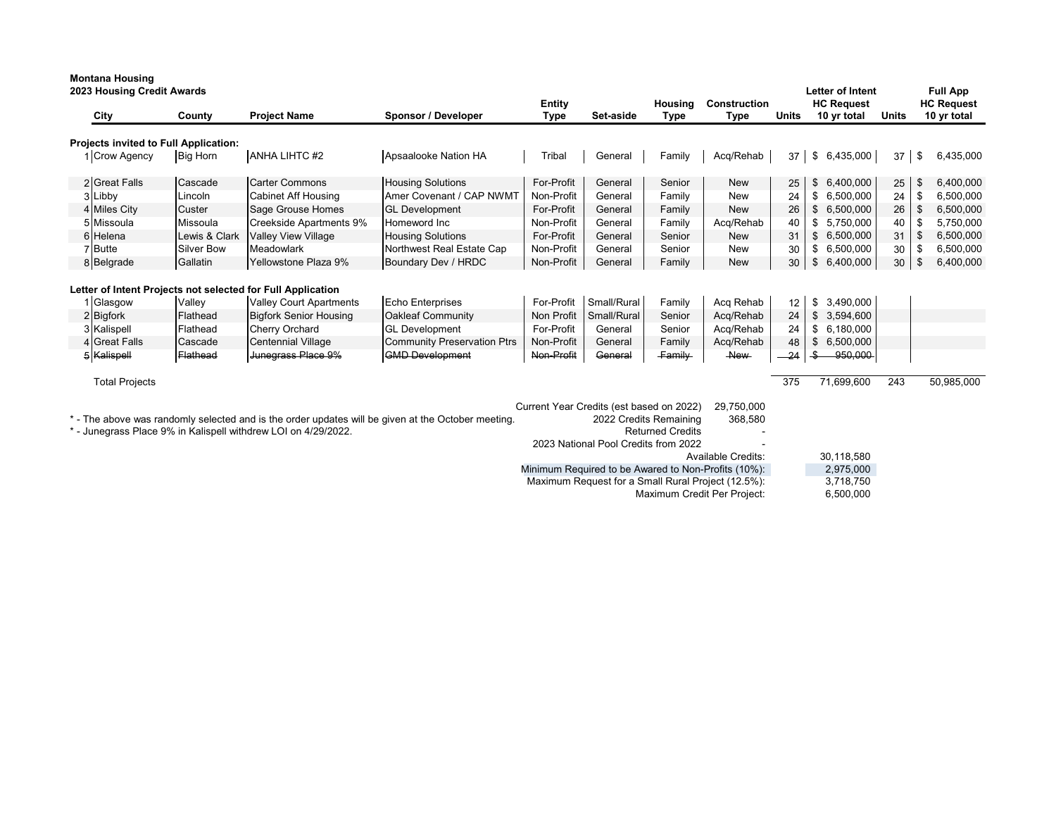| 2023 Housing Credit Awards<br>City    | County                                | <b>Project Name</b>                                                                      | Sponsor / Developer                                                                                | <b>Entity</b><br><b>Type</b>           | Set-aside                                                                        | Housing<br><b>Type</b>                            | <b>Construction</b><br><b>Type</b>                                                                        | <b>Units</b>   | <b>Letter of Intent</b><br><b>HC Request</b><br>10 yr total | <b>Units</b> |               | <b>Full App</b><br><b>HC Request</b><br>10 yr total |
|---------------------------------------|---------------------------------------|------------------------------------------------------------------------------------------|----------------------------------------------------------------------------------------------------|----------------------------------------|----------------------------------------------------------------------------------|---------------------------------------------------|-----------------------------------------------------------------------------------------------------------|----------------|-------------------------------------------------------------|--------------|---------------|-----------------------------------------------------|
|                                       | Projects invited to Full Application: |                                                                                          |                                                                                                    |                                        |                                                                                  |                                                   |                                                                                                           |                |                                                             |              |               |                                                     |
| 1 Crow Agency                         | <b>Big Horn</b>                       | <b>ANHA LIHTC #2</b>                                                                     | Apsaalooke Nation HA                                                                               | Tribal                                 | General                                                                          | Family                                            | Acq/Rehab                                                                                                 | 37             | $\frac{1}{2}$<br>6,435,000                                  | 37           | \$            | 6,435,000                                           |
| 2 Great Falls                         | Cascade                               | <b>Carter Commons</b>                                                                    | <b>Housing Solutions</b>                                                                           | For-Profit                             | General                                                                          | Senior                                            | <b>New</b>                                                                                                | 25             | 6,400,000<br>\$                                             | 25           | \$            | 6,400,000                                           |
| 3 Libby                               | Lincoln                               | <b>Cabinet Aff Housing</b>                                                               | Amer Covenant / CAP NWMT                                                                           | Non-Profit                             | General                                                                          | Family                                            | New                                                                                                       | 24             | \$6,500,000                                                 | 24           | S.            | 6,500,000                                           |
| 4 Miles City                          | Custer                                | Sage Grouse Homes                                                                        | <b>GL Development</b>                                                                              | For-Profit                             | General                                                                          | Family                                            | <b>New</b>                                                                                                | 26             | \$6,500,000                                                 | 26           | $\sqrt[6]{2}$ | 6,500,000                                           |
| 5 Missoula                            | Missoula                              | <b>Creekside Apartments 9%</b>                                                           | Homeword Inc                                                                                       | Non-Profit                             | General                                                                          | Family                                            | Acq/Rehab                                                                                                 | 40             | \$5,750,000                                                 | 40           | \$            | 5,750,000                                           |
| 6 Helena                              | Lewis & Clark                         | <b>Valley View Village</b>                                                               | <b>Housing Solutions</b>                                                                           | For-Profit                             | General                                                                          | Senior                                            | <b>New</b>                                                                                                | 31             | \$6,500,000                                                 | 31           | \$            | 6,500,000                                           |
| 7 Butte                               | <b>Silver Bow</b>                     | Meadowlark                                                                               | Northwest Real Estate Cap                                                                          | Non-Profit                             | General                                                                          | Senior                                            | <b>New</b>                                                                                                | 30             | \$6,500,000                                                 | 30           | \$            | 6,500,000                                           |
| 8 Belgrade                            | Gallatin                              | Yellowstone Plaza 9%                                                                     | Boundary Dev / HRDC                                                                                | Non-Profit                             | General                                                                          | Family                                            | <b>New</b>                                                                                                | 30             | \$<br>6,400,000                                             | 30           | \$            | 6,400,000                                           |
| 1 Glasgow<br>2 Bigfork<br>3 Kalispell | Valley<br>Flathead<br>Flathead        | <b>Valley Court Apartments</b><br><b>Bigfork Senior Housing</b><br><b>Cherry Orchard</b> | <b>Echo Enterprises</b><br><b>Oakleaf Community</b><br><b>GL</b> Development                       | For-Profit<br>Non Profit<br>For-Profit | Small/Rural<br>Small/Rural<br>General                                            | Family<br>Senior<br>Senior                        | Acq Rehab<br>Acq/Rehab<br>Acq/Rehab                                                                       | 12<br>24<br>24 | 3,490,000<br>\$<br>\$<br>3,594,600<br>\$6,180,000           |              |               |                                                     |
| 4 Great Falls                         | Cascade                               | Centennial Village                                                                       | <b>Community Preservation Ptrs</b>                                                                 | Non-Profit                             | General                                                                          | Family                                            | Acq/Rehab                                                                                                 | 48             | \$6,500,000                                                 |              |               |                                                     |
| 5 Kalispell                           | Flathead                              | Junegrass Place 9%                                                                       | <b>GMD</b> Development                                                                             | Non-Profit                             | General                                                                          | <b>Family</b>                                     | $A$ ew                                                                                                    | $-24$          | 950,000<br>-\$                                              |              |               |                                                     |
| <b>Total Projects</b>                 |                                       |                                                                                          |                                                                                                    |                                        |                                                                                  |                                                   |                                                                                                           | 375            | 71,699,600                                                  | 243          |               | 50,985,000                                          |
|                                       |                                       | * - Junegrass Place 9% in Kalispell withdrew LOI on 4/29/2022.                           | * - The above was randomly selected and is the order updates will be given at the October meeting. |                                        | Current Year Credits (est based on 2022)<br>2023 National Pool Credits from 2022 | 2022 Credits Remaining<br><b>Returned Credits</b> | 29,750,000<br>368,580<br><b>Available Credits:</b><br>Minimum Required to be Awared to Non-Profits (10%): |                | 30,118,580<br>2,975,000                                     |              |               |                                                     |